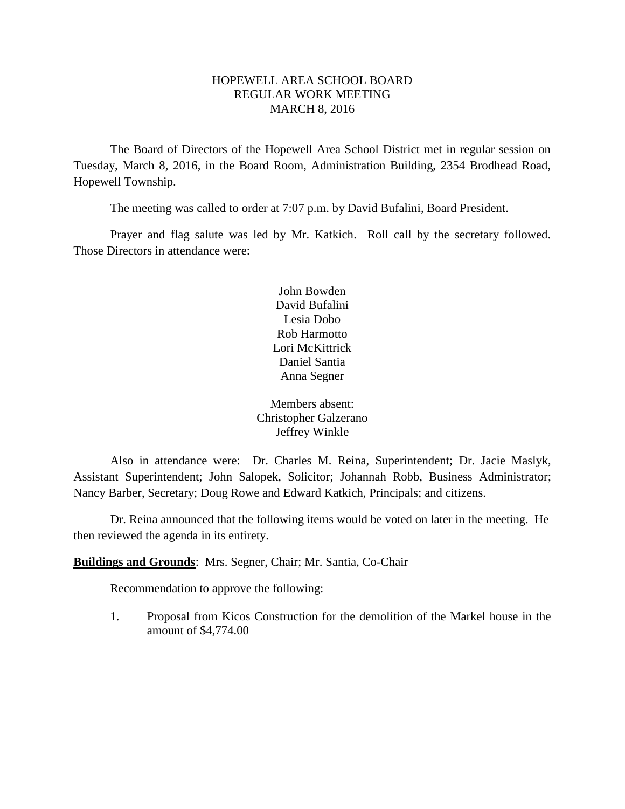# HOPEWELL AREA SCHOOL BOARD REGULAR WORK MEETING MARCH 8, 2016

The Board of Directors of the Hopewell Area School District met in regular session on Tuesday, March 8, 2016, in the Board Room, Administration Building, 2354 Brodhead Road, Hopewell Township.

The meeting was called to order at 7:07 p.m. by David Bufalini, Board President.

Prayer and flag salute was led by Mr. Katkich. Roll call by the secretary followed. Those Directors in attendance were:

> John Bowden David Bufalini Lesia Dobo Rob Harmotto Lori McKittrick Daniel Santia Anna Segner

Members absent: Christopher Galzerano Jeffrey Winkle

Also in attendance were: Dr. Charles M. Reina, Superintendent; Dr. Jacie Maslyk, Assistant Superintendent; John Salopek, Solicitor; Johannah Robb, Business Administrator; Nancy Barber, Secretary; Doug Rowe and Edward Katkich, Principals; and citizens.

Dr. Reina announced that the following items would be voted on later in the meeting. He then reviewed the agenda in its entirety.

**Buildings and Grounds**: Mrs. Segner, Chair; Mr. Santia, Co-Chair

Recommendation to approve the following:

1. Proposal from Kicos Construction for the demolition of the Markel house in the amount of \$4,774.00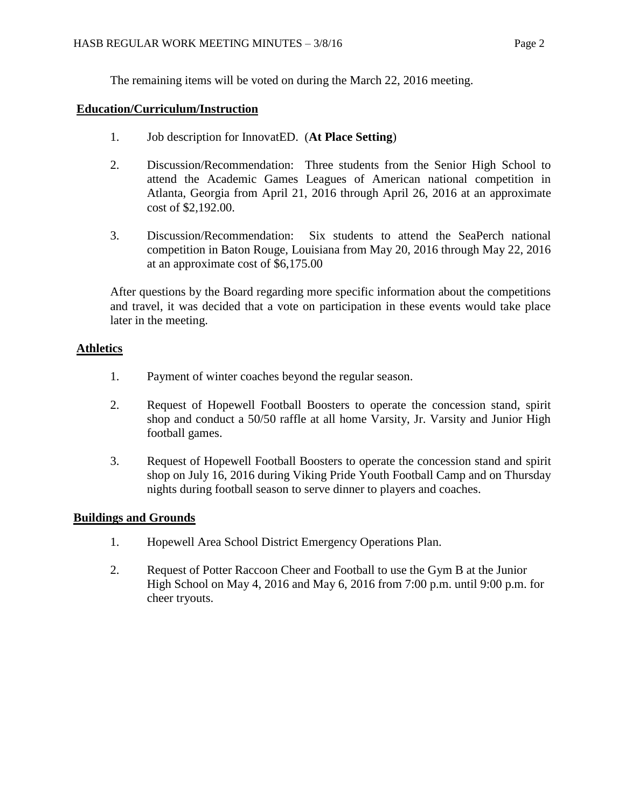The remaining items will be voted on during the March 22, 2016 meeting.

# **Education/Curriculum/Instruction**

- 1. Job description for InnovatED. (**At Place Setting**)
- 2. Discussion/Recommendation: Three students from the Senior High School to attend the Academic Games Leagues of American national competition in Atlanta, Georgia from April 21, 2016 through April 26, 2016 at an approximate cost of \$2,192.00.
- 3. Discussion/Recommendation: Six students to attend the SeaPerch national competition in Baton Rouge, Louisiana from May 20, 2016 through May 22, 2016 at an approximate cost of \$6,175.00

After questions by the Board regarding more specific information about the competitions and travel, it was decided that a vote on participation in these events would take place later in the meeting.

# **Athletics**

- 1. Payment of winter coaches beyond the regular season.
- 2. Request of Hopewell Football Boosters to operate the concession stand, spirit shop and conduct a 50/50 raffle at all home Varsity, Jr. Varsity and Junior High football games.
- 3. Request of Hopewell Football Boosters to operate the concession stand and spirit shop on July 16, 2016 during Viking Pride Youth Football Camp and on Thursday nights during football season to serve dinner to players and coaches.

# **Buildings and Grounds**

- 1. Hopewell Area School District Emergency Operations Plan.
- 2. Request of Potter Raccoon Cheer and Football to use the Gym B at the Junior High School on May 4, 2016 and May 6, 2016 from 7:00 p.m. until 9:00 p.m. for cheer tryouts.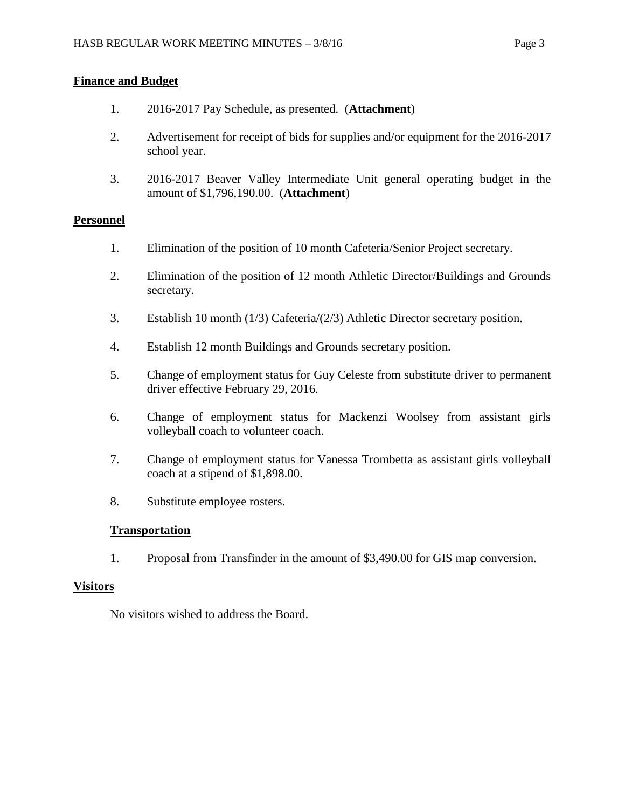# **Finance and Budget**

- 1. 2016-2017 Pay Schedule, as presented. (**Attachment**)
- 2. Advertisement for receipt of bids for supplies and/or equipment for the 2016-2017 school year.
- 3. 2016-2017 Beaver Valley Intermediate Unit general operating budget in the amount of \$1,796,190.00. (**Attachment**)

### **Personnel**

- 1. Elimination of the position of 10 month Cafeteria/Senior Project secretary.
- 2. Elimination of the position of 12 month Athletic Director/Buildings and Grounds secretary.
- 3. Establish 10 month (1/3) Cafeteria/(2/3) Athletic Director secretary position.
- 4. Establish 12 month Buildings and Grounds secretary position.
- 5. Change of employment status for Guy Celeste from substitute driver to permanent driver effective February 29, 2016.
- 6. Change of employment status for Mackenzi Woolsey from assistant girls volleyball coach to volunteer coach.
- 7. Change of employment status for Vanessa Trombetta as assistant girls volleyball coach at a stipend of \$1,898.00.
- 8. Substitute employee rosters.

#### **Transportation**

1. Proposal from Transfinder in the amount of \$3,490.00 for GIS map conversion.

#### **Visitors**

No visitors wished to address the Board.